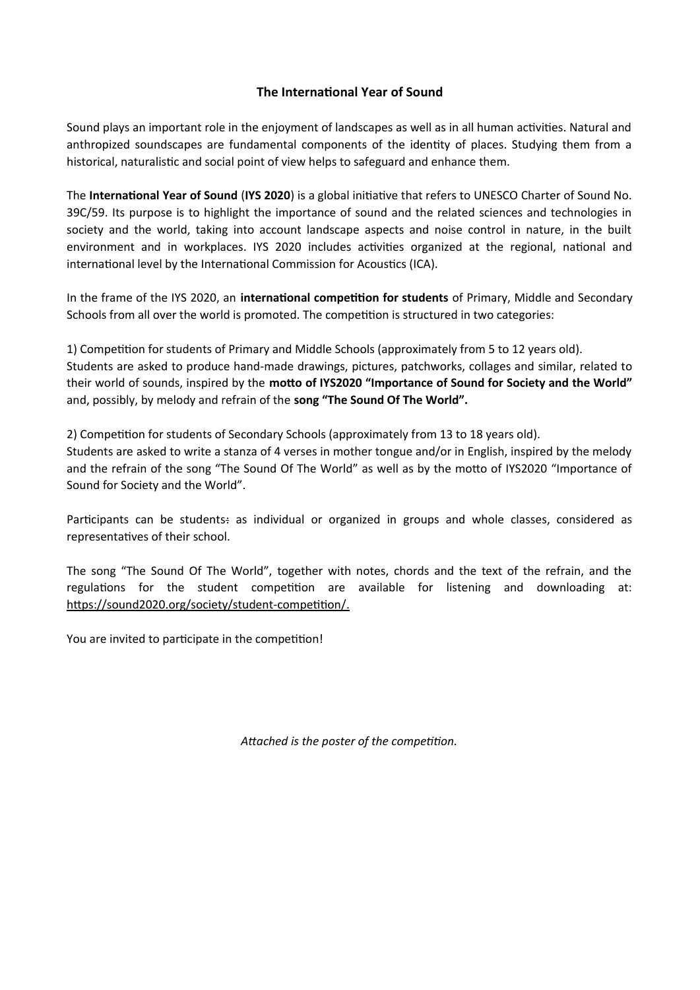## **The International Year of Sound**

Sound plays an important role in the enjoyment of landscapes as well as in all human activities. Natural and anthropized soundscapes are fundamental components of the identity of places. Studying them from a historical, naturalistic and social point of view helps to safeguard and enhance them.

The **International Year of Sound** (**IYS 2020**) is a global initiative that refers to UNESCO Charter of Sound No. 39C/59. Its purpose is to highlight the importance of sound and the related sciences and technologies in society and the world, taking into account landscape aspects and noise control in nature, in the built environment and in workplaces. IYS 2020 includes activities organized at the regional, national and international level by the International Commission for Acoustics (ICA).

In the frame of the IYS 2020, an **international competition for students** of Primary, Middle and Secondary Schools from all over the world is promoted. The competition is structured in two categories:

1) Competition for students of Primary and Middle Schools (approximately from 5 to 12 years old). Students are asked to produce hand-made drawings, pictures, patchworks, collages and similar, related to their world of sounds, inspired by the **motto of IYS2020 "Importance of Sound for Society and the World"** and, possibly, by melody and refrain of the **song "The Sound Of The World".**

2) Competition for students of Secondary Schools (approximately from 13 to 18 years old).

Students are asked to write a stanza of 4 verses in mother tongue and/or in English, inspired by the melody and the refrain of the song "The Sound Of The World" as well as by the motto of IYS2020 "Importance of Sound for Society and the World".

Participants can be students: as individual or organized in groups and whole classes, considered as representatives of their school.

The song "The Sound Of The World", together with notes, chords and the text of the refrain, and the regulations for the student competition are available for listening and downloading at:  [https://sound2020.org/society/student-competition/ .](https://sound2020.org/society/student-competition/)

You are invited to participate in the competition!

*Attached is the poster of the competition.*